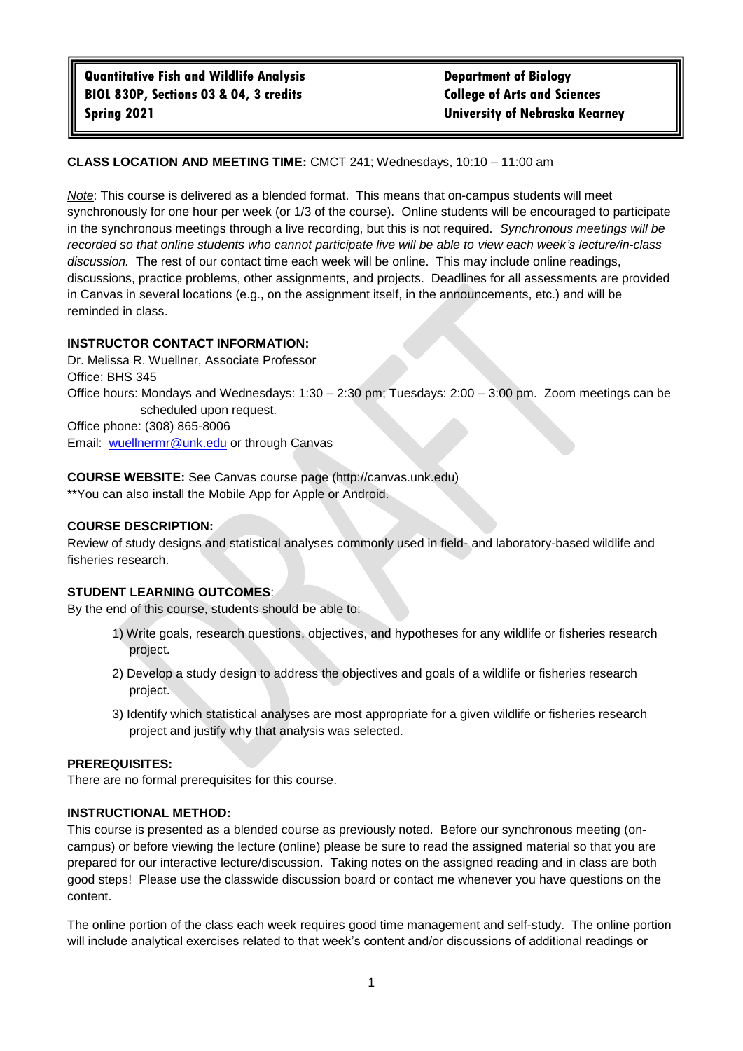# **CLASS LOCATION AND MEETING TIME:** CMCT 241; Wednesdays, 10:10 – 11:00 am

*Note*: This course is delivered as a blended format. This means that on-campus students will meet synchronously for one hour per week (or 1/3 of the course). Online students will be encouraged to participate in the synchronous meetings through a live recording, but this is not required. *Synchronous meetings will be recorded so that online students who cannot participate live will be able to view each week's lecture/in-class discussion.* The rest of our contact time each week will be online. This may include online readings, discussions, practice problems, other assignments, and projects. Deadlines for all assessments are provided in Canvas in several locations (e.g., on the assignment itself, in the announcements, etc.) and will be reminded in class.

### **INSTRUCTOR CONTACT INFORMATION:**

Dr. Melissa R. Wuellner, Associate Professor Office: BHS 345 Office hours: Mondays and Wednesdays: 1:30 – 2:30 pm; Tuesdays: 2:00 – 3:00 pm. Zoom meetings can be scheduled upon request. Office phone: (308) 865-8006 Email: [wuellnermr@unk.edu](mailto:wuellnermr@unk.edu) or through Canvas

**COURSE WEBSITE:** See Canvas course page (http://canvas.unk.edu) \*\*You can also install the Mobile App for Apple or Android.

### **COURSE DESCRIPTION:**

Review of study designs and statistical analyses commonly used in field- and laboratory-based wildlife and fisheries research.

#### **STUDENT LEARNING OUTCOMES**:

By the end of this course, students should be able to:

- 1) Write goals, research questions, objectives, and hypotheses for any wildlife or fisheries research project.
- 2) Develop a study design to address the objectives and goals of a wildlife or fisheries research project.
- 3) Identify which statistical analyses are most appropriate for a given wildlife or fisheries research project and justify why that analysis was selected.

#### **PREREQUISITES:**

There are no formal prerequisites for this course.

### **INSTRUCTIONAL METHOD:**

This course is presented as a blended course as previously noted. Before our synchronous meeting (oncampus) or before viewing the lecture (online) please be sure to read the assigned material so that you are prepared for our interactive lecture/discussion. Taking notes on the assigned reading and in class are both good steps! Please use the classwide discussion board or contact me whenever you have questions on the content.

The online portion of the class each week requires good time management and self-study. The online portion will include analytical exercises related to that week's content and/or discussions of additional readings or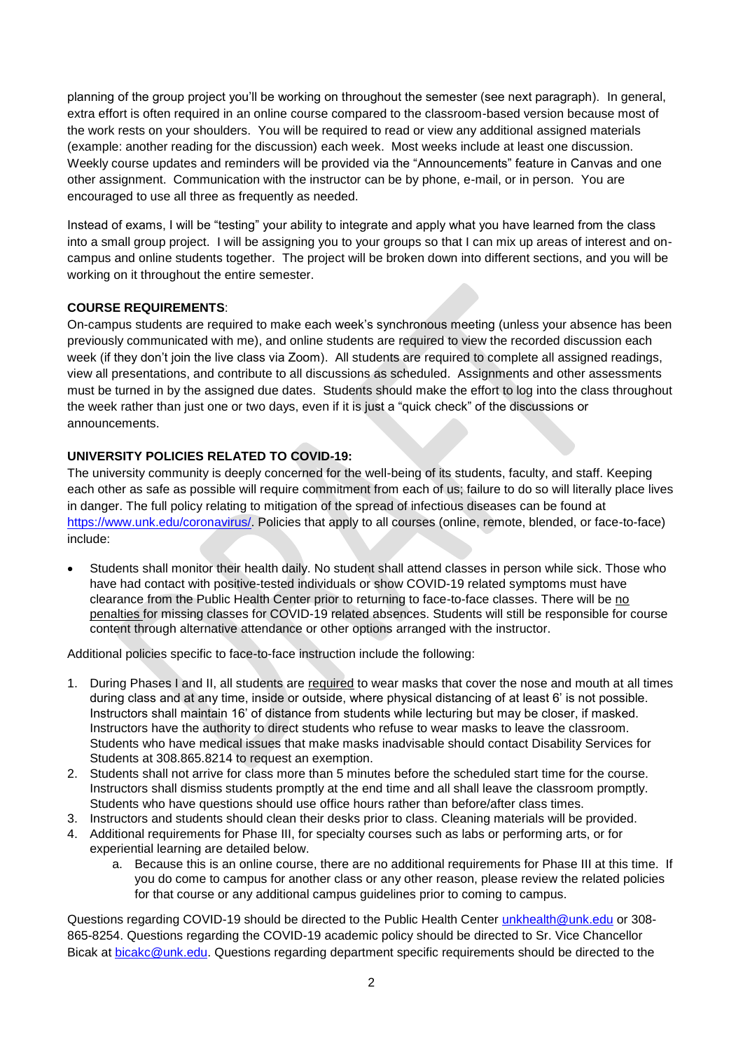planning of the group project you'll be working on throughout the semester (see next paragraph). In general, extra effort is often required in an online course compared to the classroom-based version because most of the work rests on your shoulders. You will be required to read or view any additional assigned materials (example: another reading for the discussion) each week. Most weeks include at least one discussion. Weekly course updates and reminders will be provided via the "Announcements" feature in Canvas and one other assignment. Communication with the instructor can be by phone, e-mail, or in person. You are encouraged to use all three as frequently as needed.

Instead of exams, I will be "testing" your ability to integrate and apply what you have learned from the class into a small group project. I will be assigning you to your groups so that I can mix up areas of interest and oncampus and online students together. The project will be broken down into different sections, and you will be working on it throughout the entire semester.

# **COURSE REQUIREMENTS**:

On-campus students are required to make each week's synchronous meeting (unless your absence has been previously communicated with me), and online students are required to view the recorded discussion each week (if they don't join the live class via Zoom). All students are required to complete all assigned readings, view all presentations, and contribute to all discussions as scheduled. Assignments and other assessments must be turned in by the assigned due dates. Students should make the effort to log into the class throughout the week rather than just one or two days, even if it is just a "quick check" of the discussions or announcements.

# **UNIVERSITY POLICIES RELATED TO COVID-19:**

The university community is deeply concerned for the well-being of its students, faculty, and staff. Keeping each other as safe as possible will require commitment from each of us; failure to do so will literally place lives in danger. The full policy relating to mitigation of the spread of infectious diseases can be found at [https://www.unk.edu/coronavirus/.](https://www.unk.edu/coronavirus/) Policies that apply to all courses (online, remote, blended, or face-to-face) include:

 Students shall monitor their health daily. No student shall attend classes in person while sick. Those who have had contact with positive-tested individuals or show COVID-19 related symptoms must have clearance from the Public Health Center prior to returning to face-to-face classes. There will be no penalties for missing classes for COVID-19 related absences. Students will still be responsible for course content through alternative attendance or other options arranged with the instructor.

Additional policies specific to face-to-face instruction include the following:

- 1. During Phases I and II, all students are required to wear masks that cover the nose and mouth at all times during class and at any time, inside or outside, where physical distancing of at least 6' is not possible. Instructors shall maintain 16' of distance from students while lecturing but may be closer, if masked. Instructors have the authority to direct students who refuse to wear masks to leave the classroom. Students who have medical issues that make masks inadvisable should contact Disability Services for Students at 308.865.8214 to request an exemption.
- 2. Students shall not arrive for class more than 5 minutes before the scheduled start time for the course. Instructors shall dismiss students promptly at the end time and all shall leave the classroom promptly. Students who have questions should use office hours rather than before/after class times.
- 3. Instructors and students should clean their desks prior to class. Cleaning materials will be provided.
- 4. Additional requirements for Phase III, for specialty courses such as labs or performing arts, or for experiential learning are detailed below.
	- a. Because this is an online course, there are no additional requirements for Phase III at this time. If you do come to campus for another class or any other reason, please review the related policies for that course or any additional campus guidelines prior to coming to campus.

Questions regarding COVID-19 should be directed to the Public Health Center [unkhealth@unk.edu](mailto:unkhealth@unk.edu) or 308- 865-8254. Questions regarding the COVID-19 academic policy should be directed to Sr. Vice Chancellor Bicak at [bicakc@unk.edu.](mailto:bicakc@unk.edu) Questions regarding department specific requirements should be directed to the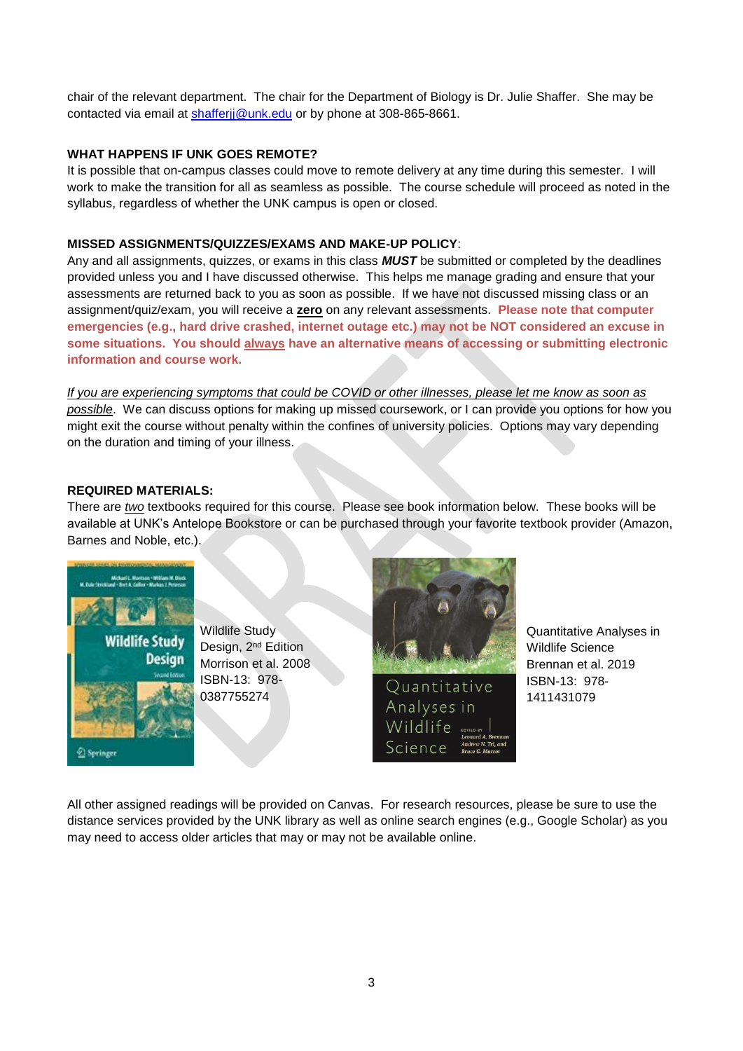chair of the relevant department. The chair for the Department of Biology is Dr. Julie Shaffer. She may be contacted via email at [shafferjj@unk.edu](mailto:shafferjj@unk.edu) or by phone at 308-865-8661.

# **WHAT HAPPENS IF UNK GOES REMOTE?**

It is possible that on-campus classes could move to remote delivery at any time during this semester. I will work to make the transition for all as seamless as possible. The course schedule will proceed as noted in the syllabus, regardless of whether the UNK campus is open or closed.

# **MISSED ASSIGNMENTS/QUIZZES/EXAMS AND MAKE-UP POLICY**:

Any and all assignments, quizzes, or exams in this class *MUST* be submitted or completed by the deadlines provided unless you and I have discussed otherwise. This helps me manage grading and ensure that your assessments are returned back to you as soon as possible. If we have not discussed missing class or an assignment/quiz/exam, you will receive a **zero** on any relevant assessments. **Please note that computer emergencies (e.g., hard drive crashed, internet outage etc.) may not be NOT considered an excuse in some situations. You should always have an alternative means of accessing or submitting electronic information and course work.**

*If you are experiencing symptoms that could be COVID or other illnesses, please let me know as soon as possible*. We can discuss options for making up missed coursework, or I can provide you options for how you might exit the course without penalty within the confines of university policies. Options may vary depending on the duration and timing of your illness.

# **REQUIRED MATERIALS:**

There are *two* textbooks required for this course. Please see book information below. These books will be available at UNK's Antelope Bookstore or can be purchased through your favorite textbook provider (Amazon, Barnes and Noble, etc.).



Wildlife Study Design, 2nd Edition Morrison et al. 2008 ISBN-13: 978- 0387755274



Quantitative Analyses in Wildlife Science Brennan et al. 2019 ISBN-13: 978- 1411431079

All other assigned readings will be provided on Canvas. For research resources, please be sure to use the distance services provided by the UNK library as well as online search engines (e.g., Google Scholar) as you may need to access older articles that may or may not be available online.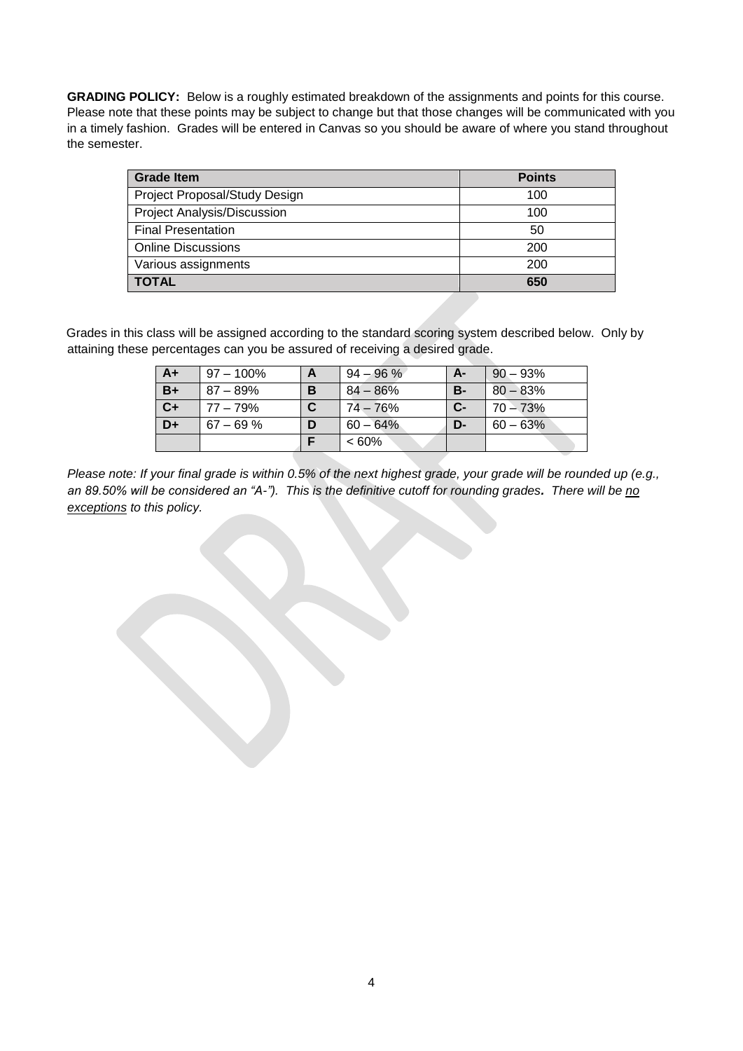**GRADING POLICY:** Below is a roughly estimated breakdown of the assignments and points for this course. Please note that these points may be subject to change but that those changes will be communicated with you in a timely fashion. Grades will be entered in Canvas so you should be aware of where you stand throughout the semester.

| <b>Grade Item</b>                  | <b>Points</b> |
|------------------------------------|---------------|
| Project Proposal/Study Design      | 100           |
| <b>Project Analysis/Discussion</b> | 100           |
| <b>Final Presentation</b>          | 50            |
| <b>Online Discussions</b>          | 200           |
| Various assignments                | 200           |
| <b>TOTAL</b>                       | 650           |

Grades in this class will be assigned according to the standard scoring system described below. Only by attaining these percentages can you be assured of receiving a desired grade.

| $A+$ | 97 – 100%    | A | $94 - 96 \%$ | A-        | $90 - 93%$  |
|------|--------------|---|--------------|-----------|-------------|
| $B+$ | $87 - 89\%$  | в | $84 - 86%$   | <b>B-</b> | $80 - 83%$  |
| $C+$ | 77 – 79%     |   | 74 – 76%     | $C -$     | $70 - 73%$  |
| D+   | $67 - 69 \%$ | D | $60 - 64\%$  | $D-$      | $60 - 63\%$ |
|      |              |   | $<60\%$      |           |             |

*Please note: If your final grade is within 0.5% of the next highest grade, your grade will be rounded up (e.g., an 89.50% will be considered an "A-"). This is the definitive cutoff for rounding grades. There will be no exceptions to this policy.*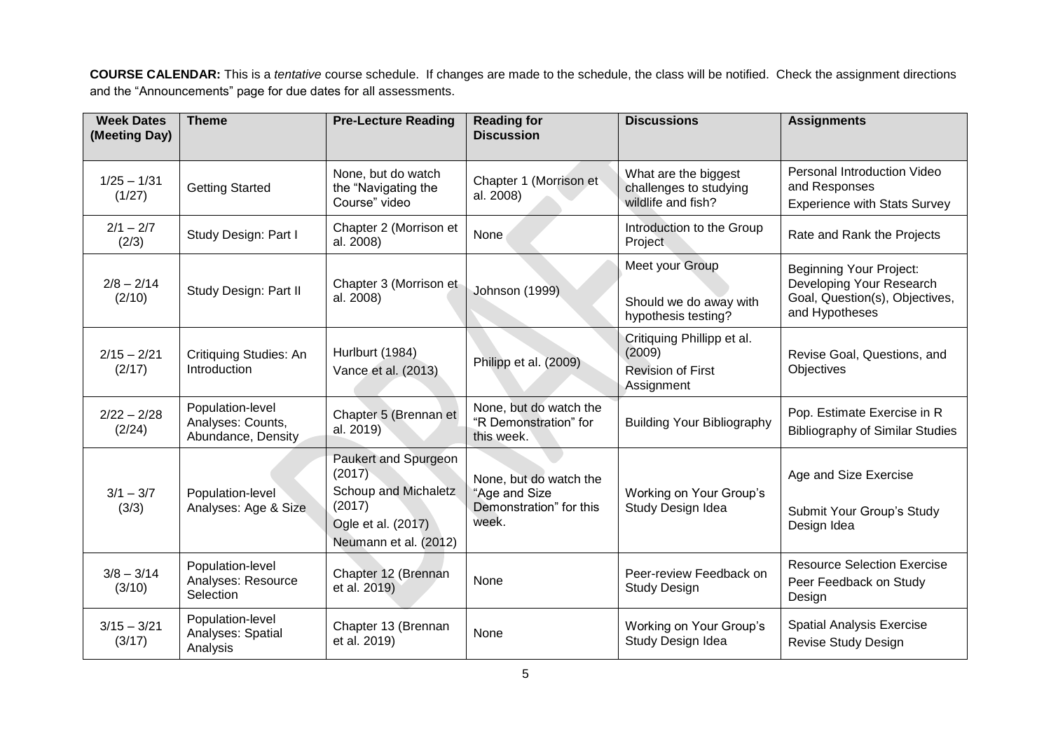**COURSE CALENDAR:** This is a *tentative* course schedule. If changes are made to the schedule, the class will be notified. Check the assignment directions and the "Announcements" page for due dates for all assessments.

| <b>Week Dates</b><br>(Meeting Day) | <b>Theme</b>                                                | <b>Pre-Lecture Reading</b>                                                                                      | <b>Reading for</b><br><b>Discussion</b>                                     | <b>Discussions</b>                                                             | <b>Assignments</b>                                                                                             |
|------------------------------------|-------------------------------------------------------------|-----------------------------------------------------------------------------------------------------------------|-----------------------------------------------------------------------------|--------------------------------------------------------------------------------|----------------------------------------------------------------------------------------------------------------|
| $1/25 - 1/31$<br>(1/27)            | <b>Getting Started</b>                                      | None, but do watch<br>the "Navigating the<br>Course" video                                                      | Chapter 1 (Morrison et<br>al. 2008)                                         | What are the biggest<br>challenges to studying<br>wildlife and fish?           | Personal Introduction Video<br>and Responses<br><b>Experience with Stats Survey</b>                            |
| $2/1 - 2/7$<br>(2/3)               | Study Design: Part I                                        | Chapter 2 (Morrison et<br>al. 2008)                                                                             | None                                                                        | Introduction to the Group<br>Project                                           | Rate and Rank the Projects                                                                                     |
| $2/8 - 2/14$<br>(2/10)             | Study Design: Part II                                       | Chapter 3 (Morrison et<br>al. 2008)                                                                             | <b>Johnson (1999)</b>                                                       | Meet your Group<br>Should we do away with<br>hypothesis testing?               | <b>Beginning Your Project:</b><br>Developing Your Research<br>Goal, Question(s), Objectives,<br>and Hypotheses |
| $2/15 - 2/21$<br>(2/17)            | Critiquing Studies: An<br>Introduction                      | Hurlburt (1984)<br>Vance et al. (2013)                                                                          | Philipp et al. (2009)                                                       | Critiquing Phillipp et al.<br>(2009)<br><b>Revision of First</b><br>Assignment | Revise Goal, Questions, and<br>Objectives                                                                      |
| $2/22 - 2/28$<br>(2/24)            | Population-level<br>Analyses: Counts,<br>Abundance, Density | Chapter 5 (Brennan et<br>al. 2019)                                                                              | None, but do watch the<br>"R Demonstration" for<br>this week.               | <b>Building Your Bibliography</b>                                              | Pop. Estimate Exercise in R<br><b>Bibliography of Similar Studies</b>                                          |
| $3/1 - 3/7$<br>(3/3)               | Population-level<br>Analyses: Age & Size                    | Paukert and Spurgeon<br>(2017)<br>Schoup and Michaletz<br>(2017)<br>Ogle et al. (2017)<br>Neumann et al. (2012) | None, but do watch the<br>"Age and Size<br>Demonstration" for this<br>week. | Working on Your Group's<br>Study Design Idea                                   | Age and Size Exercise<br>Submit Your Group's Study<br>Design Idea                                              |
| $3/8 - 3/14$<br>(3/10)             | Population-level<br>Analyses: Resource<br>Selection         | Chapter 12 (Brennan<br>et al. 2019)                                                                             | None                                                                        | Peer-review Feedback on<br><b>Study Design</b>                                 | <b>Resource Selection Exercise</b><br>Peer Feedback on Study<br>Design                                         |
| $3/15 - 3/21$<br>(3/17)            | Population-level<br>Analyses: Spatial<br>Analysis           | Chapter 13 (Brennan<br>et al. 2019)                                                                             | None                                                                        | Working on Your Group's<br>Study Design Idea                                   | <b>Spatial Analysis Exercise</b><br>Revise Study Design                                                        |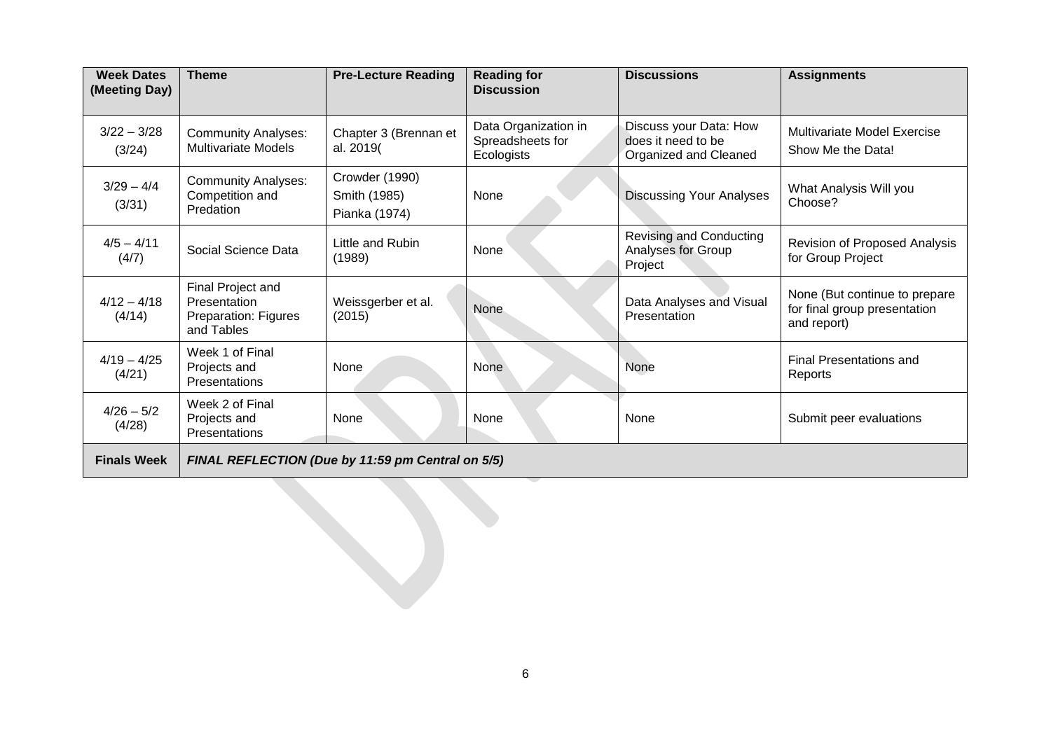| <b>Week Dates</b><br>(Meeting Day) | <b>Theme</b>                                                            | <b>Pre-Lecture Reading</b>                      | <b>Reading for</b><br><b>Discussion</b>                | <b>Discussions</b>                                                    | <b>Assignments</b>                                                           |
|------------------------------------|-------------------------------------------------------------------------|-------------------------------------------------|--------------------------------------------------------|-----------------------------------------------------------------------|------------------------------------------------------------------------------|
| $3/22 - 3/28$<br>(3/24)            | <b>Community Analyses:</b><br><b>Multivariate Models</b>                | Chapter 3 (Brennan et<br>al. 2019(              | Data Organization in<br>Spreadsheets for<br>Ecologists | Discuss your Data: How<br>does it need to be<br>Organized and Cleaned | <b>Multivariate Model Exercise</b><br>Show Me the Data!                      |
| $3/29 - 4/4$<br>(3/31)             | <b>Community Analyses:</b><br>Competition and<br>Predation              | Crowder (1990)<br>Smith (1985)<br>Pianka (1974) | None                                                   | <b>Discussing Your Analyses</b>                                       | What Analysis Will you<br>Choose?                                            |
| $4/5 - 4/11$<br>(4/7)              | Social Science Data                                                     | Little and Rubin<br>(1989)                      | None                                                   | Revising and Conducting<br>Analyses for Group<br>Project              | <b>Revision of Proposed Analysis</b><br>for Group Project                    |
| $4/12 - 4/18$<br>(4/14)            | Final Project and<br>Presentation<br>Preparation: Figures<br>and Tables | Weissgerber et al.<br>(2015)                    | None                                                   | Data Analyses and Visual<br>Presentation                              | None (But continue to prepare<br>for final group presentation<br>and report) |
| $4/19 - 4/25$<br>(4/21)            | Week 1 of Final<br>Projects and<br><b>Presentations</b>                 | None                                            | None                                                   | None                                                                  | <b>Final Presentations and</b><br>Reports                                    |
| $4/26 - 5/2$<br>(4/28)             | Week 2 of Final<br>Projects and<br>Presentations                        | None                                            | None                                                   | None                                                                  | Submit peer evaluations                                                      |
| <b>Finals Week</b>                 | FINAL REFLECTION (Due by 11:59 pm Central on 5/5)                       |                                                 |                                                        |                                                                       |                                                                              |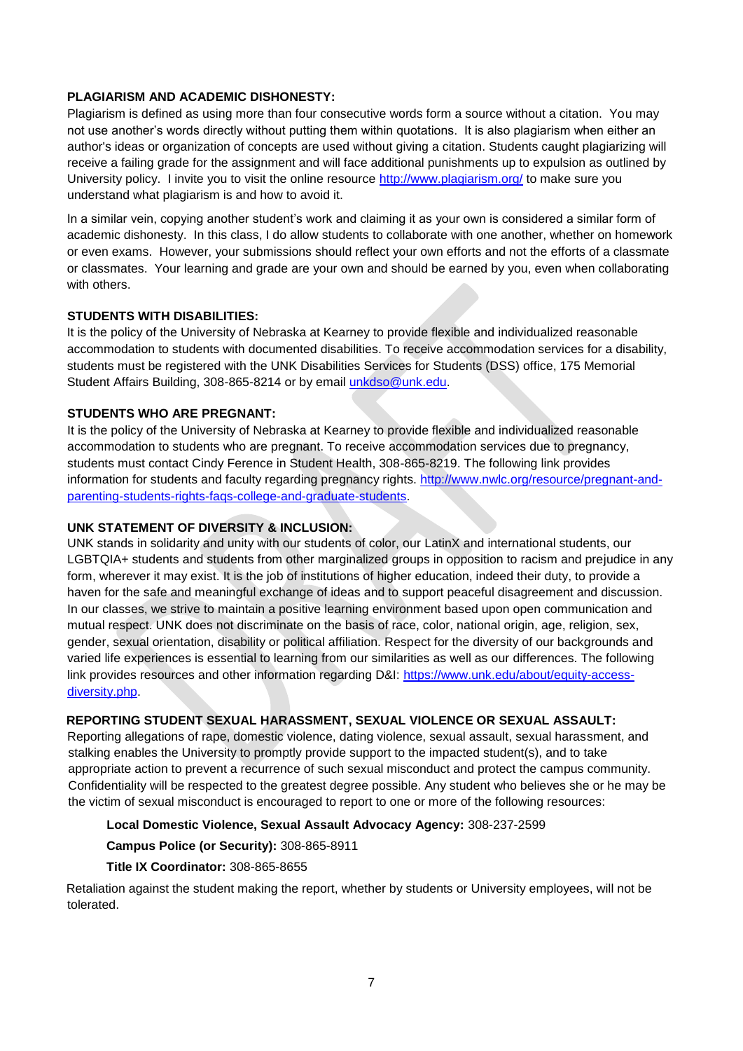## **PLAGIARISM AND ACADEMIC DISHONESTY:**

Plagiarism is defined as using more than four consecutive words form a source without a citation. You may not use another's words directly without putting them within quotations. It is also plagiarism when either an author's ideas or organization of concepts are used without giving a citation. Students caught plagiarizing will receive a failing grade for the assignment and will face additional punishments up to expulsion as outlined by University policy. I invite you to visit the online resource<http://www.plagiarism.org/> to make sure you understand what plagiarism is and how to avoid it.

In a similar vein, copying another student's work and claiming it as your own is considered a similar form of academic dishonesty. In this class, I do allow students to collaborate with one another, whether on homework or even exams. However, your submissions should reflect your own efforts and not the efforts of a classmate or classmates. Your learning and grade are your own and should be earned by you, even when collaborating with others.

### **STUDENTS WITH DISABILITIES:**

It is the policy of the University of Nebraska at Kearney to provide flexible and individualized reasonable accommodation to students with documented disabilities. To receive accommodation services for a disability, students must be registered with the UNK Disabilities Services for Students (DSS) office, 175 Memorial Student Affairs Building, 308-865-8214 or by email [unkdso@unk.edu.](mailto:unkdso@unk.edu)

#### **STUDENTS WHO ARE PREGNANT:**

It is the policy of the University of Nebraska at Kearney to provide flexible and individualized reasonable accommodation to students who are pregnant. To receive accommodation services due to pregnancy, students must contact Cindy Ference in Student Health, 308-865-8219. The following link provides information for students and faculty regarding pregnancy rights. [http://www.nwlc.org/resource/pregnant-and](http://www.nwlc.org/resource/pregnant-and-parenting-students-rights-faqs-college-and-graduate-students)[parenting-students-rights-faqs-college-and-graduate-students.](http://www.nwlc.org/resource/pregnant-and-parenting-students-rights-faqs-college-and-graduate-students)

#### **UNK STATEMENT OF DIVERSITY & INCLUSION:**

UNK stands in solidarity and unity with our students of color, our LatinX and international students, our LGBTQIA+ students and students from other marginalized groups in opposition to racism and prejudice in any form, wherever it may exist. It is the job of institutions of higher education, indeed their duty, to provide a haven for the safe and meaningful exchange of ideas and to support peaceful disagreement and discussion. In our classes, we strive to maintain a positive learning environment based upon open communication and mutual respect. UNK does not discriminate on the basis of race, color, national origin, age, religion, sex, gender, sexual orientation, disability or political affiliation. Respect for the diversity of our backgrounds and varied life experiences is essential to learning from our similarities as well as our differences. The following link provides resources and other information regarding D&I: [https://www.unk.edu/about/equity-access](https://www.unk.edu/about/equity-access-diversity.php)[diversity.php.](https://www.unk.edu/about/equity-access-diversity.php)

# **REPORTING STUDENT SEXUAL HARASSMENT, SEXUAL VIOLENCE OR SEXUAL ASSAULT:**

Reporting allegations of rape, domestic violence, dating violence, sexual assault, sexual harassment, and stalking enables the University to promptly provide support to the impacted student(s), and to take appropriate action to prevent a recurrence of such sexual misconduct and protect the campus community. Confidentiality will be respected to the greatest degree possible. Any student who believes she or he may be the victim of sexual misconduct is encouraged to report to one or more of the following resources:

### **Local Domestic Violence, Sexual Assault Advocacy Agency:** 308-237-2599

#### **Campus Police (or Security):** 308-865-8911

#### **Title IX Coordinator:** 308-865-8655

Retaliation against the student making the report, whether by students or University employees, will not be tolerated.